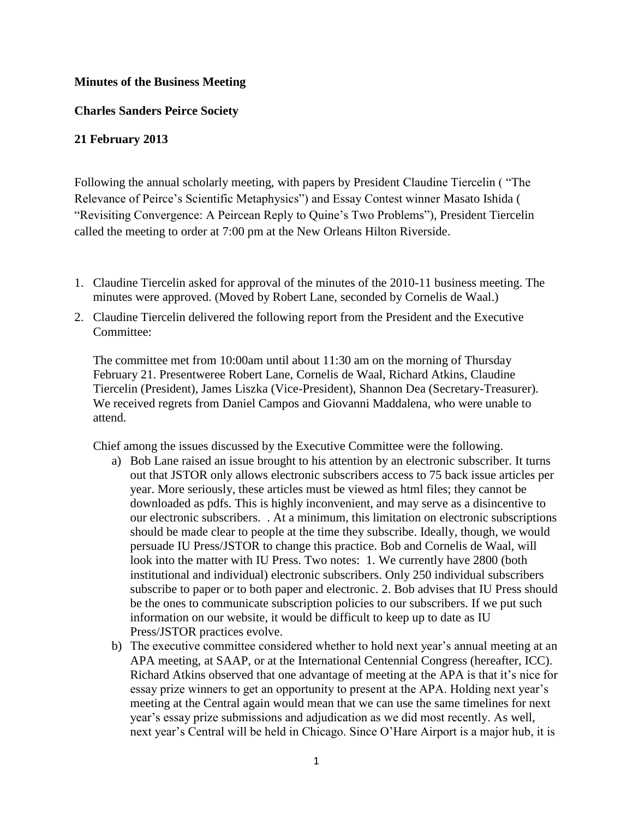## **Minutes of the Business Meeting**

## **Charles Sanders Peirce Society**

## **21 February 2013**

Following the annual scholarly meeting, with papers by President Claudine Tiercelin ( "The Relevance of Peirce's Scientific Metaphysics") and Essay Contest winner Masato Ishida ( "Revisiting Convergence: A Peircean Reply to Quine's Two Problems"), President Tiercelin called the meeting to order at 7:00 pm at the New Orleans Hilton Riverside.

- 1. Claudine Tiercelin asked for approval of the minutes of the 2010-11 business meeting. The minutes were approved. (Moved by Robert Lane, seconded by Cornelis de Waal.)
- 2. Claudine Tiercelin delivered the following report from the President and the Executive Committee:

The committee met from 10:00am until about 11:30 am on the morning of Thursday February 21. Presentweree Robert Lane, Cornelis de Waal, Richard Atkins, Claudine Tiercelin (President), James Liszka (Vice-President), Shannon Dea (Secretary-Treasurer). We received regrets from Daniel Campos and Giovanni Maddalena, who were unable to attend.

Chief among the issues discussed by the Executive Committee were the following.

- a) Bob Lane raised an issue brought to his attention by an electronic subscriber. It turns out that JSTOR only allows electronic subscribers access to 75 back issue articles per year. More seriously, these articles must be viewed as html files; they cannot be downloaded as pdfs. This is highly inconvenient, and may serve as a disincentive to our electronic subscribers. . At a minimum, this limitation on electronic subscriptions should be made clear to people at the time they subscribe. Ideally, though, we would persuade IU Press/JSTOR to change this practice. Bob and Cornelis de Waal, will look into the matter with IU Press. Two notes: 1. We currently have 2800 (both institutional and individual) electronic subscribers. Only 250 individual subscribers subscribe to paper or to both paper and electronic. 2. Bob advises that IU Press should be the ones to communicate subscription policies to our subscribers. If we put such information on our website, it would be difficult to keep up to date as IU Press/JSTOR practices evolve.
- b) The executive committee considered whether to hold next year's annual meeting at an APA meeting, at SAAP, or at the International Centennial Congress (hereafter, ICC). Richard Atkins observed that one advantage of meeting at the APA is that it's nice for essay prize winners to get an opportunity to present at the APA. Holding next year's meeting at the Central again would mean that we can use the same timelines for next year's essay prize submissions and adjudication as we did most recently. As well, next year's Central will be held in Chicago. Since O'Hare Airport is a major hub, it is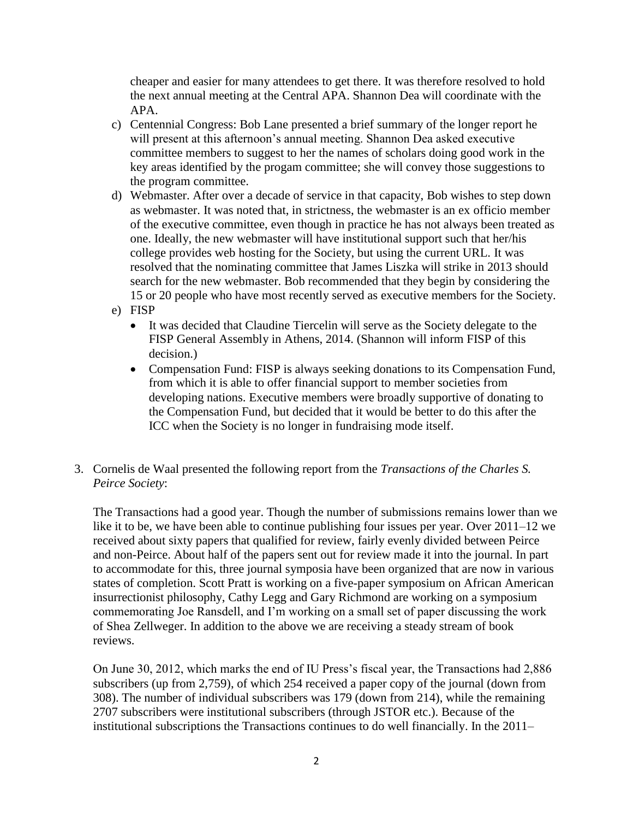cheaper and easier for many attendees to get there. It was therefore resolved to hold the next annual meeting at the Central APA. Shannon Dea will coordinate with the APA.

- c) Centennial Congress: Bob Lane presented a brief summary of the longer report he will present at this afternoon's annual meeting. Shannon Dea asked executive committee members to suggest to her the names of scholars doing good work in the key areas identified by the progam committee; she will convey those suggestions to the program committee.
- d) Webmaster. After over a decade of service in that capacity, Bob wishes to step down as webmaster. It was noted that, in strictness, the webmaster is an ex officio member of the executive committee, even though in practice he has not always been treated as one. Ideally, the new webmaster will have institutional support such that her/his college provides web hosting for the Society, but using the current URL. It was resolved that the nominating committee that James Liszka will strike in 2013 should search for the new webmaster. Bob recommended that they begin by considering the 15 or 20 people who have most recently served as executive members for the Society.
- e) FISP
	- It was decided that Claudine Tiercelin will serve as the Society delegate to the FISP General Assembly in Athens, 2014. (Shannon will inform FISP of this decision.)
	- Compensation Fund: FISP is always seeking donations to its Compensation Fund, from which it is able to offer financial support to member societies from developing nations. Executive members were broadly supportive of donating to the Compensation Fund, but decided that it would be better to do this after the ICC when the Society is no longer in fundraising mode itself.
- 3. Cornelis de Waal presented the following report from the *Transactions of the Charles S. Peirce Society*:

The Transactions had a good year. Though the number of submissions remains lower than we like it to be, we have been able to continue publishing four issues per year. Over 2011–12 we received about sixty papers that qualified for review, fairly evenly divided between Peirce and non-Peirce. About half of the papers sent out for review made it into the journal. In part to accommodate for this, three journal symposia have been organized that are now in various states of completion. Scott Pratt is working on a five-paper symposium on African American insurrectionist philosophy, Cathy Legg and Gary Richmond are working on a symposium commemorating Joe Ransdell, and I'm working on a small set of paper discussing the work of Shea Zellweger. In addition to the above we are receiving a steady stream of book reviews.

On June 30, 2012, which marks the end of IU Press's fiscal year, the Transactions had 2,886 subscribers (up from 2,759), of which 254 received a paper copy of the journal (down from 308). The number of individual subscribers was 179 (down from 214), while the remaining 2707 subscribers were institutional subscribers (through JSTOR etc.). Because of the institutional subscriptions the Transactions continues to do well financially. In the 2011–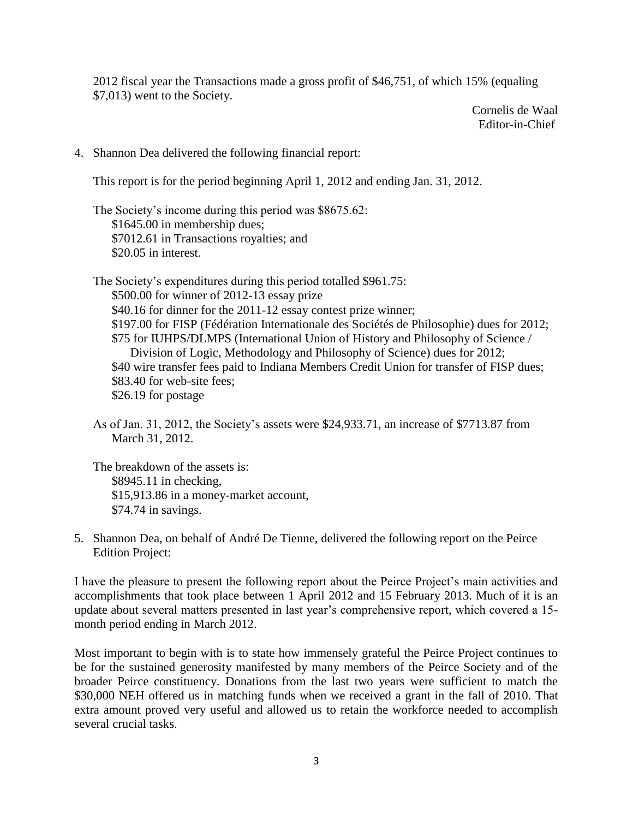2012 fiscal year the Transactions made a gross profit of \$46,751, of which 15% (equaling \$7,013) went to the Society.

> Cornelis de Waal Editor-in-Chief

4. Shannon Dea delivered the following financial report:

This report is for the period beginning April 1, 2012 and ending Jan. 31, 2012.

The Society's income during this period was \$8675.62: \$1645.00 in membership dues; \$7012.61 in Transactions royalties; and \$20.05 in interest.

The Society's expenditures during this period totalled \$961.75: \$500.00 for winner of 2012-13 essay prize \$40.16 for dinner for the 2011-12 essay contest prize winner; \$197.00 for FISP (Fédération Internationale des Sociétés de Philosophie) dues for 2012; \$75 for IUHPS/DLMPS (International Union of History and Philosophy of Science / Division of Logic, Methodology and Philosophy of Science) dues for 2012; \$40 wire transfer fees paid to Indiana Members Credit Union for transfer of FISP dues; \$83.40 for web-site fees; \$26.19 for postage

As of Jan. 31, 2012, the Society's assets were \$24,933.71, an increase of \$7713.87 from March 31, 2012.

The breakdown of the assets is: \$8945.11 in checking, \$15,913.86 in a money-market account, \$74.74 in savings.

5. Shannon Dea, on behalf of André De Tienne, delivered the following report on the Peirce Edition Project:

I have the pleasure to present the following report about the Peirce Project's main activities and accomplishments that took place between 1 April 2012 and 15 February 2013. Much of it is an update about several matters presented in last year's comprehensive report, which covered a 15 month period ending in March 2012.

Most important to begin with is to state how immensely grateful the Peirce Project continues to be for the sustained generosity manifested by many members of the Peirce Society and of the broader Peirce constituency. Donations from the last two years were sufficient to match the \$30,000 NEH offered us in matching funds when we received a grant in the fall of 2010. That extra amount proved very useful and allowed us to retain the workforce needed to accomplish several crucial tasks.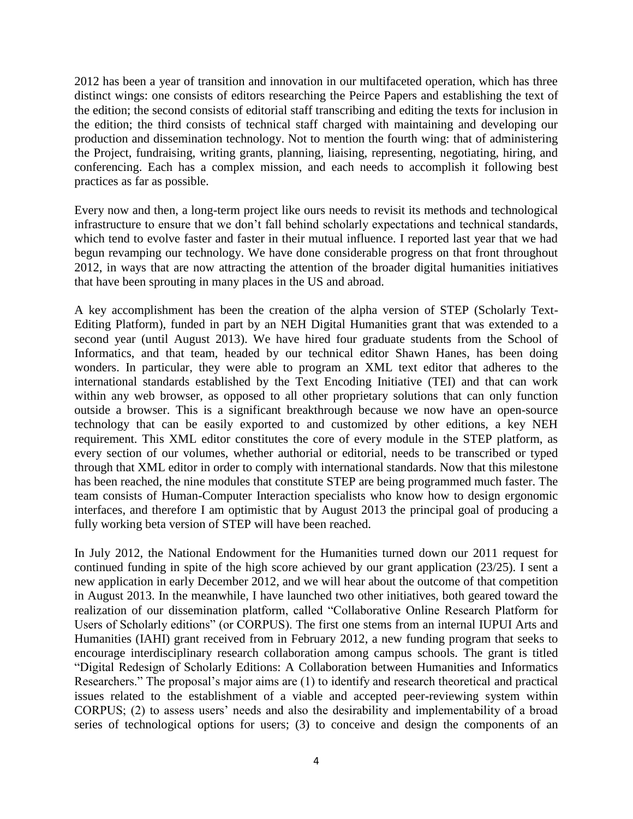2012 has been a year of transition and innovation in our multifaceted operation, which has three distinct wings: one consists of editors researching the Peirce Papers and establishing the text of the edition; the second consists of editorial staff transcribing and editing the texts for inclusion in the edition; the third consists of technical staff charged with maintaining and developing our production and dissemination technology. Not to mention the fourth wing: that of administering the Project, fundraising, writing grants, planning, liaising, representing, negotiating, hiring, and conferencing. Each has a complex mission, and each needs to accomplish it following best practices as far as possible.

Every now and then, a long-term project like ours needs to revisit its methods and technological infrastructure to ensure that we don't fall behind scholarly expectations and technical standards, which tend to evolve faster and faster in their mutual influence. I reported last year that we had begun revamping our technology. We have done considerable progress on that front throughout 2012, in ways that are now attracting the attention of the broader digital humanities initiatives that have been sprouting in many places in the US and abroad.

A key accomplishment has been the creation of the alpha version of STEP (Scholarly Text-Editing Platform), funded in part by an NEH Digital Humanities grant that was extended to a second year (until August 2013). We have hired four graduate students from the School of Informatics, and that team, headed by our technical editor Shawn Hanes, has been doing wonders. In particular, they were able to program an XML text editor that adheres to the international standards established by the Text Encoding Initiative (TEI) and that can work within any web browser, as opposed to all other proprietary solutions that can only function outside a browser. This is a significant breakthrough because we now have an open-source technology that can be easily exported to and customized by other editions, a key NEH requirement. This XML editor constitutes the core of every module in the STEP platform, as every section of our volumes, whether authorial or editorial, needs to be transcribed or typed through that XML editor in order to comply with international standards. Now that this milestone has been reached, the nine modules that constitute STEP are being programmed much faster. The team consists of Human-Computer Interaction specialists who know how to design ergonomic interfaces, and therefore I am optimistic that by August 2013 the principal goal of producing a fully working beta version of STEP will have been reached.

In July 2012, the National Endowment for the Humanities turned down our 2011 request for continued funding in spite of the high score achieved by our grant application (23/25). I sent a new application in early December 2012, and we will hear about the outcome of that competition in August 2013. In the meanwhile, I have launched two other initiatives, both geared toward the realization of our dissemination platform, called "Collaborative Online Research Platform for Users of Scholarly editions" (or CORPUS). The first one stems from an internal IUPUI Arts and Humanities (IAHI) grant received from in February 2012, a new funding program that seeks to encourage interdisciplinary research collaboration among campus schools. The grant is titled "Digital Redesign of Scholarly Editions: A Collaboration between Humanities and Informatics Researchers." The proposal's major aims are (1) to identify and research theoretical and practical issues related to the establishment of a viable and accepted peer-reviewing system within CORPUS; (2) to assess users' needs and also the desirability and implementability of a broad series of technological options for users; (3) to conceive and design the components of an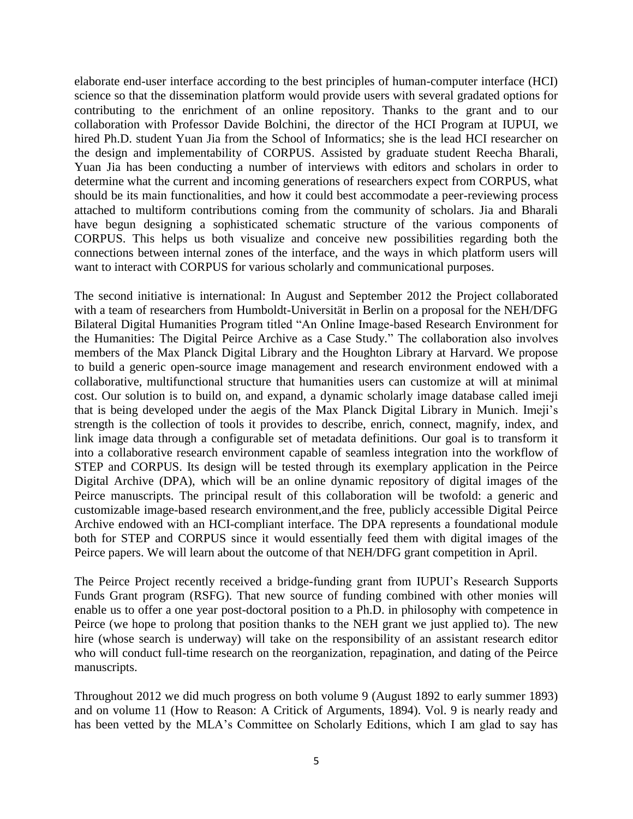elaborate end-user interface according to the best principles of human-computer interface (HCI) science so that the dissemination platform would provide users with several gradated options for contributing to the enrichment of an online repository. Thanks to the grant and to our collaboration with Professor Davide Bolchini, the director of the HCI Program at IUPUI, we hired Ph.D. student Yuan Jia from the School of Informatics; she is the lead HCI researcher on the design and implementability of CORPUS. Assisted by graduate student Reecha Bharali, Yuan Jia has been conducting a number of interviews with editors and scholars in order to determine what the current and incoming generations of researchers expect from CORPUS, what should be its main functionalities, and how it could best accommodate a peer-reviewing process attached to multiform contributions coming from the community of scholars. Jia and Bharali have begun designing a sophisticated schematic structure of the various components of CORPUS. This helps us both visualize and conceive new possibilities regarding both the connections between internal zones of the interface, and the ways in which platform users will want to interact with CORPUS for various scholarly and communicational purposes.

The second initiative is international: In August and September 2012 the Project collaborated with a team of researchers from Humboldt-Universität in Berlin on a proposal for the NEH/DFG Bilateral Digital Humanities Program titled "An Online Image-based Research Environment for the Humanities: The Digital Peirce Archive as a Case Study." The collaboration also involves members of the Max Planck Digital Library and the Houghton Library at Harvard. We propose to build a generic open-source image management and research environment endowed with a collaborative, multifunctional structure that humanities users can customize at will at minimal cost. Our solution is to build on, and expand, a dynamic scholarly image database called imeji that is being developed under the aegis of the Max Planck Digital Library in Munich. Imeji's strength is the collection of tools it provides to describe, enrich, connect, magnify, index, and link image data through a configurable set of metadata definitions. Our goal is to transform it into a collaborative research environment capable of seamless integration into the workflow of STEP and CORPUS. Its design will be tested through its exemplary application in the Peirce Digital Archive (DPA), which will be an online dynamic repository of digital images of the Peirce manuscripts. The principal result of this collaboration will be twofold: a generic and customizable image-based research environment,and the free, publicly accessible Digital Peirce Archive endowed with an HCI-compliant interface. The DPA represents a foundational module both for STEP and CORPUS since it would essentially feed them with digital images of the Peirce papers. We will learn about the outcome of that NEH/DFG grant competition in April.

The Peirce Project recently received a bridge-funding grant from IUPUI's Research Supports Funds Grant program (RSFG). That new source of funding combined with other monies will enable us to offer a one year post-doctoral position to a Ph.D. in philosophy with competence in Peirce (we hope to prolong that position thanks to the NEH grant we just applied to). The new hire (whose search is underway) will take on the responsibility of an assistant research editor who will conduct full-time research on the reorganization, repagination, and dating of the Peirce manuscripts.

Throughout 2012 we did much progress on both volume 9 (August 1892 to early summer 1893) and on volume 11 (How to Reason: A Critick of Arguments, 1894). Vol. 9 is nearly ready and has been vetted by the MLA's Committee on Scholarly Editions, which I am glad to say has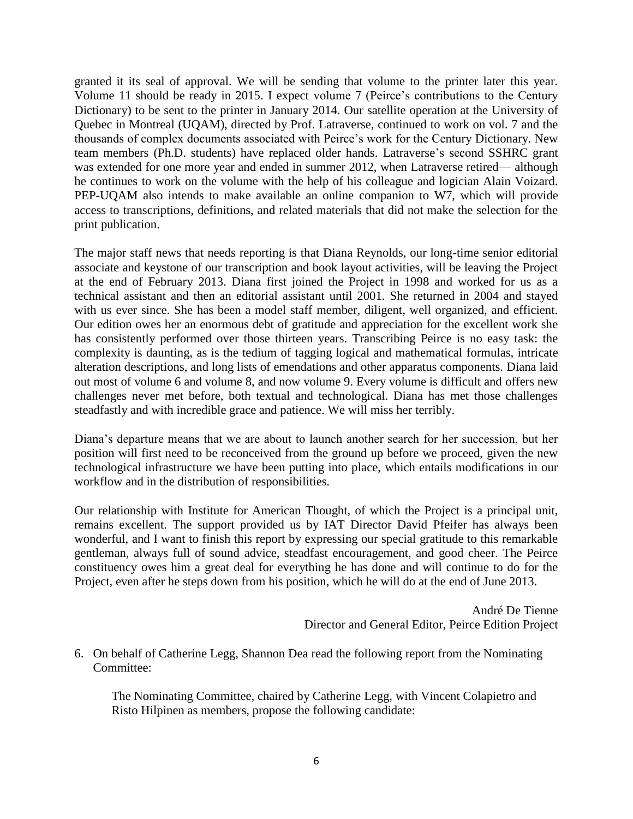granted it its seal of approval. We will be sending that volume to the printer later this year. Volume 11 should be ready in 2015. I expect volume 7 (Peirce's contributions to the Century Dictionary) to be sent to the printer in January 2014. Our satellite operation at the University of Quebec in Montreal (UQAM), directed by Prof. Latraverse, continued to work on vol. 7 and the thousands of complex documents associated with Peirce's work for the Century Dictionary. New team members (Ph.D. students) have replaced older hands. Latraverse's second SSHRC grant was extended for one more year and ended in summer 2012, when Latraverse retired— although he continues to work on the volume with the help of his colleague and logician Alain Voizard. PEP-UQAM also intends to make available an online companion to W7, which will provide access to transcriptions, definitions, and related materials that did not make the selection for the print publication.

The major staff news that needs reporting is that Diana Reynolds, our long-time senior editorial associate and keystone of our transcription and book layout activities, will be leaving the Project at the end of February 2013. Diana first joined the Project in 1998 and worked for us as a technical assistant and then an editorial assistant until 2001. She returned in 2004 and stayed with us ever since. She has been a model staff member, diligent, well organized, and efficient. Our edition owes her an enormous debt of gratitude and appreciation for the excellent work she has consistently performed over those thirteen years. Transcribing Peirce is no easy task: the complexity is daunting, as is the tedium of tagging logical and mathematical formulas, intricate alteration descriptions, and long lists of emendations and other apparatus components. Diana laid out most of volume 6 and volume 8, and now volume 9. Every volume is difficult and offers new challenges never met before, both textual and technological. Diana has met those challenges steadfastly and with incredible grace and patience. We will miss her terribly.

Diana's departure means that we are about to launch another search for her succession, but her position will first need to be reconceived from the ground up before we proceed, given the new technological infrastructure we have been putting into place, which entails modifications in our workflow and in the distribution of responsibilities.

Our relationship with Institute for American Thought, of which the Project is a principal unit, remains excellent. The support provided us by IAT Director David Pfeifer has always been wonderful, and I want to finish this report by expressing our special gratitude to this remarkable gentleman, always full of sound advice, steadfast encouragement, and good cheer. The Peirce constituency owes him a great deal for everything he has done and will continue to do for the Project, even after he steps down from his position, which he will do at the end of June 2013.

> André De Tienne Director and General Editor, Peirce Edition Project

6. On behalf of Catherine Legg, Shannon Dea read the following report from the Nominating Committee:

The Nominating Committee, chaired by Catherine Legg, with Vincent Colapietro and Risto Hilpinen as members, propose the following candidate: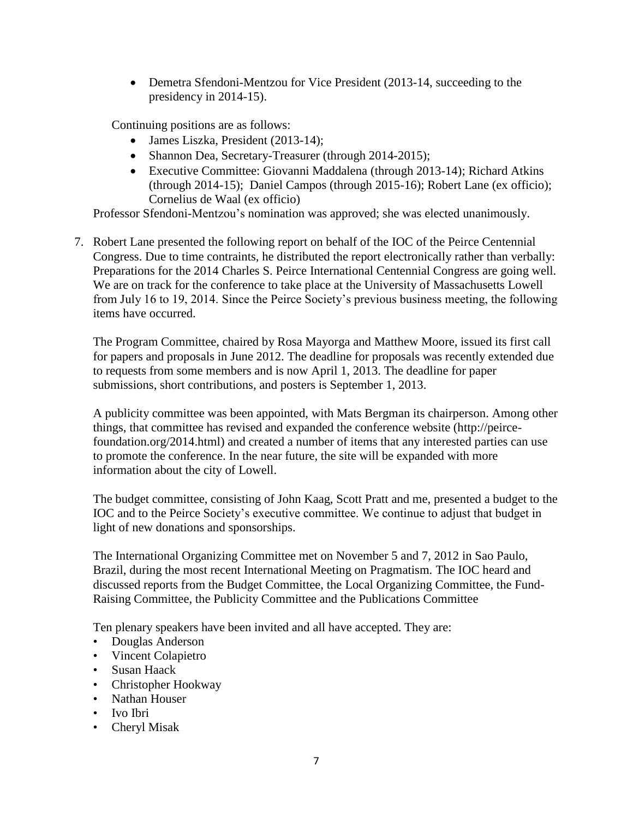• Demetra Sfendoni-Mentzou for Vice President (2013-14, succeeding to the presidency in 2014-15).

Continuing positions are as follows:

- James Liszka, President (2013-14);
- Shannon Dea, Secretary-Treasurer (through 2014-2015);
- Executive Committee: Giovanni Maddalena (through 2013-14); Richard Atkins (through 2014-15); Daniel Campos (through 2015-16); Robert Lane (ex officio); Cornelius de Waal (ex officio)

Professor Sfendoni-Mentzou's nomination was approved; she was elected unanimously.

7. Robert Lane presented the following report on behalf of the IOC of the Peirce Centennial Congress. Due to time contraints, he distributed the report electronically rather than verbally: Preparations for the 2014 Charles S. Peirce International Centennial Congress are going well. We are on track for the conference to take place at the University of Massachusetts Lowell from July 16 to 19, 2014. Since the Peirce Society's previous business meeting, the following items have occurred.

The Program Committee, chaired by Rosa Mayorga and Matthew Moore, issued its first call for papers and proposals in June 2012. The deadline for proposals was recently extended due to requests from some members and is now April 1, 2013. The deadline for paper submissions, short contributions, and posters is September 1, 2013.

A publicity committee was been appointed, with Mats Bergman its chairperson. Among other things, that committee has revised and expanded the conference website (http://peircefoundation.org/2014.html) and created a number of items that any interested parties can use to promote the conference. In the near future, the site will be expanded with more information about the city of Lowell.

The budget committee, consisting of John Kaag, Scott Pratt and me, presented a budget to the IOC and to the Peirce Society's executive committee. We continue to adjust that budget in light of new donations and sponsorships.

The International Organizing Committee met on November 5 and 7, 2012 in Sao Paulo, Brazil, during the most recent International Meeting on Pragmatism. The IOC heard and discussed reports from the Budget Committee, the Local Organizing Committee, the Fund-Raising Committee, the Publicity Committee and the Publications Committee

Ten plenary speakers have been invited and all have accepted. They are:

- Douglas Anderson
- Vincent Colapietro
- Susan Haack
- Christopher Hookway
- Nathan Houser
- Ivo Ibri
- Cheryl Misak